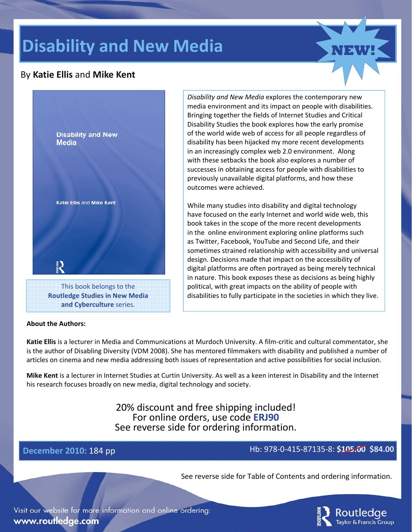# **Disability and New Media**

#### By **Katie Ellis** and **Mike Kent**



#### **About the Authors:**

*Disability and New Media* explores the contemporary new media environment and its impact on people with disabilities. Bringing together the fields of Internet Studies and Critical Disability Studies the book explores how the early promise of the world wide web of access for all people regardless of disability has been hijacked my more recent developments in an increasingly complex web 2.0 environment. Along with these setbacks the book also explores a number of successes in obtaining access for people with disabilities to previously unavailable digital platforms, and how these outcomes were achieved.

While many studies into disability and digital technology have focused on the early Internet and world wide web, this book takes in the scope of the more recent developments in the online environment exploring online platforms such as Twitter, Facebook, YouTube and Second Life, and their sometimes strained relationship with accessibility and universal design. Decisions made that impact on the accessibility of digital platforms are often portrayed as being merely technical in nature. This book exposes these as decisions as being highly political, with great impacts on the ability of people with disabilities to fully participate in the societies in which they live.

**Katie Ellis** is a lecturer in Media and Communications at Murdoch University. A film‐critic and cultural commentator, she is the author of Disabling Diversity (VDM 2008). She has mentored filmmakers with disability and published a number of articles on cinema and new media addressing both issues of representation and active possibilities for social inclusion.

**Mike Kent** is a lecturer in Internet Studies at Curtin University. As well as a keen interest in Disability and the Internet his research focuses broadly on new media, digital technology and society.

> 20% discount and free shipping included! For online orders, use code **ERJ90** See reverse side for ordering information.

#### **December 2010:** 184 pp Hb: 978‐0‐415‐87135‐8: **\$105.00 \$84.00**

See reverse side for Table of Contents and ordering information.

Visit our website for more information and online ordering: www.routledge.com